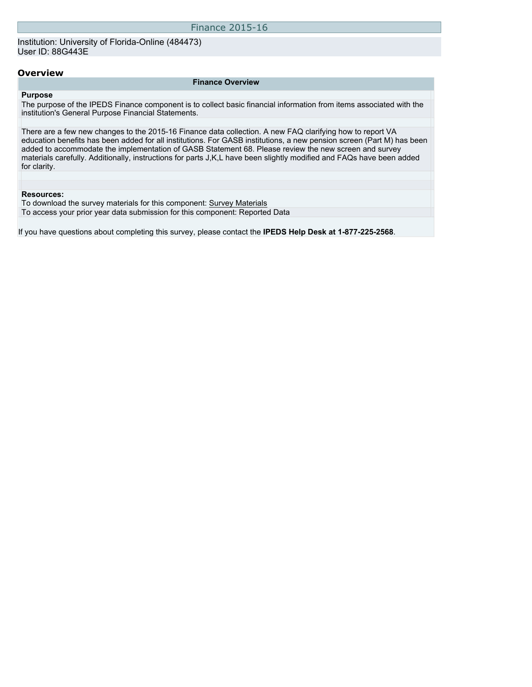Institution: University of Florida-Online (484473) User ID: 88G443E

#### **Overview**

#### **Finance Overview**

#### **Purpose**

The purpose of the IPEDS Finance component is to collect basic financial information from items associated with the institution's General Purpose Financial Statements.

There are a few new changes to the 2015-16 Finance data collection. A new FAQ clarifying how to report VA education benefits has been added for all institutions. For GASB institutions, a new pension screen (Part M) has been added to accommodate the implementation of GASB Statement 68. Please review the new screen and survey materials carefully. Additionally, instructions for parts J,K,L have been slightly modified and FAQs have been added for clarity.

#### **Resources:**

To download the survey materials for this component: Survey Materials To access your prior year data submission for this component: Reported Data

If you have questions about completing this survey, please contact the **IPEDS Help Desk at 1-877-225-2568**.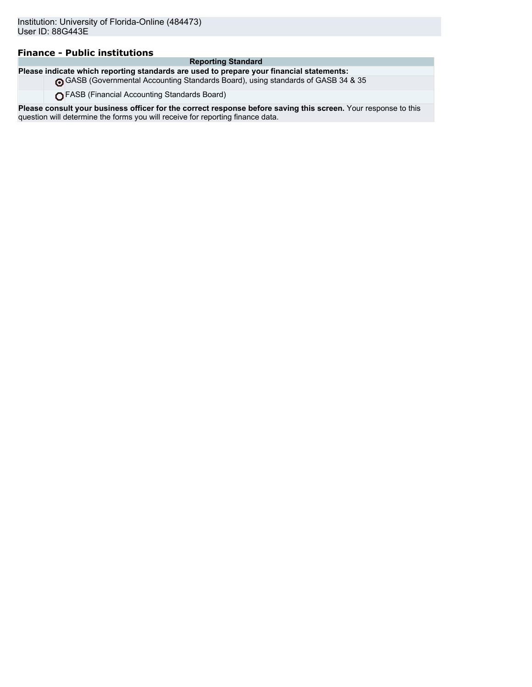## **Finance - Public institutions**

#### **Reporting Standard**

**Please indicate which reporting standards are used to prepare your financial statements:**

GASB (Governmental Accounting Standards Board), using standards of GASB 34 & 35

FASB (Financial Accounting Standards Board)

**Please consult your business officer for the correct response before saving this screen.** Your response to this question will determine the forms you will receive for reporting finance data.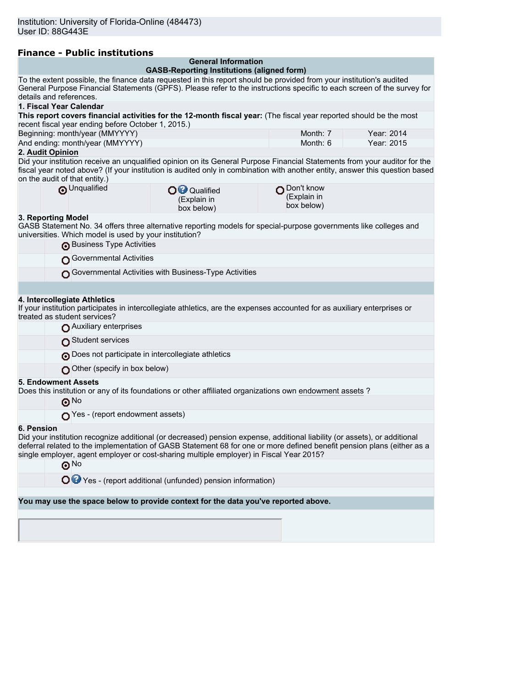|  | <b>Finance - Public institutions</b> |  |
|--|--------------------------------------|--|
|  |                                      |  |

| <b>General Information</b>                             |                                                                                                                  |                                                                                                                                                                                                                                                                                                                                                                                                                                                                                                                                                                                                                                                                                                                                                                                                                                                                                                                                                                                                                                                                                                                                                                                                                                                                                                                                                                                                                                                                                                                                                                                                    |
|--------------------------------------------------------|------------------------------------------------------------------------------------------------------------------|----------------------------------------------------------------------------------------------------------------------------------------------------------------------------------------------------------------------------------------------------------------------------------------------------------------------------------------------------------------------------------------------------------------------------------------------------------------------------------------------------------------------------------------------------------------------------------------------------------------------------------------------------------------------------------------------------------------------------------------------------------------------------------------------------------------------------------------------------------------------------------------------------------------------------------------------------------------------------------------------------------------------------------------------------------------------------------------------------------------------------------------------------------------------------------------------------------------------------------------------------------------------------------------------------------------------------------------------------------------------------------------------------------------------------------------------------------------------------------------------------------------------------------------------------------------------------------------------------|
|                                                        |                                                                                                                  |                                                                                                                                                                                                                                                                                                                                                                                                                                                                                                                                                                                                                                                                                                                                                                                                                                                                                                                                                                                                                                                                                                                                                                                                                                                                                                                                                                                                                                                                                                                                                                                                    |
|                                                        |                                                                                                                  |                                                                                                                                                                                                                                                                                                                                                                                                                                                                                                                                                                                                                                                                                                                                                                                                                                                                                                                                                                                                                                                                                                                                                                                                                                                                                                                                                                                                                                                                                                                                                                                                    |
|                                                        |                                                                                                                  |                                                                                                                                                                                                                                                                                                                                                                                                                                                                                                                                                                                                                                                                                                                                                                                                                                                                                                                                                                                                                                                                                                                                                                                                                                                                                                                                                                                                                                                                                                                                                                                                    |
| recent fiscal year ending before October 1, 2015.)     |                                                                                                                  |                                                                                                                                                                                                                                                                                                                                                                                                                                                                                                                                                                                                                                                                                                                                                                                                                                                                                                                                                                                                                                                                                                                                                                                                                                                                                                                                                                                                                                                                                                                                                                                                    |
|                                                        |                                                                                                                  | Year: 2014<br>Year: 2015                                                                                                                                                                                                                                                                                                                                                                                                                                                                                                                                                                                                                                                                                                                                                                                                                                                                                                                                                                                                                                                                                                                                                                                                                                                                                                                                                                                                                                                                                                                                                                           |
|                                                        |                                                                                                                  |                                                                                                                                                                                                                                                                                                                                                                                                                                                                                                                                                                                                                                                                                                                                                                                                                                                                                                                                                                                                                                                                                                                                                                                                                                                                                                                                                                                                                                                                                                                                                                                                    |
|                                                        |                                                                                                                  |                                                                                                                                                                                                                                                                                                                                                                                                                                                                                                                                                                                                                                                                                                                                                                                                                                                                                                                                                                                                                                                                                                                                                                                                                                                                                                                                                                                                                                                                                                                                                                                                    |
|                                                        |                                                                                                                  |                                                                                                                                                                                                                                                                                                                                                                                                                                                                                                                                                                                                                                                                                                                                                                                                                                                                                                                                                                                                                                                                                                                                                                                                                                                                                                                                                                                                                                                                                                                                                                                                    |
| O <sup>O</sup> Qualified<br>(Explain in<br>box below)  | (Explain in<br>box below)                                                                                        |                                                                                                                                                                                                                                                                                                                                                                                                                                                                                                                                                                                                                                                                                                                                                                                                                                                                                                                                                                                                                                                                                                                                                                                                                                                                                                                                                                                                                                                                                                                                                                                                    |
| universities. Which model is used by your institution? |                                                                                                                  |                                                                                                                                                                                                                                                                                                                                                                                                                                                                                                                                                                                                                                                                                                                                                                                                                                                                                                                                                                                                                                                                                                                                                                                                                                                                                                                                                                                                                                                                                                                                                                                                    |
|                                                        |                                                                                                                  |                                                                                                                                                                                                                                                                                                                                                                                                                                                                                                                                                                                                                                                                                                                                                                                                                                                                                                                                                                                                                                                                                                                                                                                                                                                                                                                                                                                                                                                                                                                                                                                                    |
| Governmental Activities                                |                                                                                                                  |                                                                                                                                                                                                                                                                                                                                                                                                                                                                                                                                                                                                                                                                                                                                                                                                                                                                                                                                                                                                                                                                                                                                                                                                                                                                                                                                                                                                                                                                                                                                                                                                    |
| Governmental Activities with Business-Type Activities  |                                                                                                                  |                                                                                                                                                                                                                                                                                                                                                                                                                                                                                                                                                                                                                                                                                                                                                                                                                                                                                                                                                                                                                                                                                                                                                                                                                                                                                                                                                                                                                                                                                                                                                                                                    |
|                                                        |                                                                                                                  |                                                                                                                                                                                                                                                                                                                                                                                                                                                                                                                                                                                                                                                                                                                                                                                                                                                                                                                                                                                                                                                                                                                                                                                                                                                                                                                                                                                                                                                                                                                                                                                                    |
|                                                        |                                                                                                                  |                                                                                                                                                                                                                                                                                                                                                                                                                                                                                                                                                                                                                                                                                                                                                                                                                                                                                                                                                                                                                                                                                                                                                                                                                                                                                                                                                                                                                                                                                                                                                                                                    |
|                                                        |                                                                                                                  |                                                                                                                                                                                                                                                                                                                                                                                                                                                                                                                                                                                                                                                                                                                                                                                                                                                                                                                                                                                                                                                                                                                                                                                                                                                                                                                                                                                                                                                                                                                                                                                                    |
|                                                        |                                                                                                                  |                                                                                                                                                                                                                                                                                                                                                                                                                                                                                                                                                                                                                                                                                                                                                                                                                                                                                                                                                                                                                                                                                                                                                                                                                                                                                                                                                                                                                                                                                                                                                                                                    |
|                                                        |                                                                                                                  |                                                                                                                                                                                                                                                                                                                                                                                                                                                                                                                                                                                                                                                                                                                                                                                                                                                                                                                                                                                                                                                                                                                                                                                                                                                                                                                                                                                                                                                                                                                                                                                                    |
| Other (specify in box below)                           |                                                                                                                  |                                                                                                                                                                                                                                                                                                                                                                                                                                                                                                                                                                                                                                                                                                                                                                                                                                                                                                                                                                                                                                                                                                                                                                                                                                                                                                                                                                                                                                                                                                                                                                                                    |
|                                                        |                                                                                                                  |                                                                                                                                                                                                                                                                                                                                                                                                                                                                                                                                                                                                                                                                                                                                                                                                                                                                                                                                                                                                                                                                                                                                                                                                                                                                                                                                                                                                                                                                                                                                                                                                    |
|                                                        |                                                                                                                  |                                                                                                                                                                                                                                                                                                                                                                                                                                                                                                                                                                                                                                                                                                                                                                                                                                                                                                                                                                                                                                                                                                                                                                                                                                                                                                                                                                                                                                                                                                                                                                                                    |
| $\bigcap$ Yes - (report endowment assets)              |                                                                                                                  |                                                                                                                                                                                                                                                                                                                                                                                                                                                                                                                                                                                                                                                                                                                                                                                                                                                                                                                                                                                                                                                                                                                                                                                                                                                                                                                                                                                                                                                                                                                                                                                                    |
|                                                        |                                                                                                                  |                                                                                                                                                                                                                                                                                                                                                                                                                                                                                                                                                                                                                                                                                                                                                                                                                                                                                                                                                                                                                                                                                                                                                                                                                                                                                                                                                                                                                                                                                                                                                                                                    |
|                                                        |                                                                                                                  |                                                                                                                                                                                                                                                                                                                                                                                                                                                                                                                                                                                                                                                                                                                                                                                                                                                                                                                                                                                                                                                                                                                                                                                                                                                                                                                                                                                                                                                                                                                                                                                                    |
|                                                        |                                                                                                                  |                                                                                                                                                                                                                                                                                                                                                                                                                                                                                                                                                                                                                                                                                                                                                                                                                                                                                                                                                                                                                                                                                                                                                                                                                                                                                                                                                                                                                                                                                                                                                                                                    |
|                                                        |                                                                                                                  |                                                                                                                                                                                                                                                                                                                                                                                                                                                                                                                                                                                                                                                                                                                                                                                                                                                                                                                                                                                                                                                                                                                                                                                                                                                                                                                                                                                                                                                                                                                                                                                                    |
|                                                        |                                                                                                                  |                                                                                                                                                                                                                                                                                                                                                                                                                                                                                                                                                                                                                                                                                                                                                                                                                                                                                                                                                                                                                                                                                                                                                                                                                                                                                                                                                                                                                                                                                                                                                                                                    |
|                                                        |                                                                                                                  |                                                                                                                                                                                                                                                                                                                                                                                                                                                                                                                                                                                                                                                                                                                                                                                                                                                                                                                                                                                                                                                                                                                                                                                                                                                                                                                                                                                                                                                                                                                                                                                                    |
|                                                        | rillance - rublic Ilistitutions<br>Business Type Activities<br>Does not participate in intercollegiate athletics | <b>GASB-Reporting Institutions (aligned form)</b><br>To the extent possible, the finance data requested in this report should be provided from your institution's audited<br>General Purpose Financial Statements (GPFS). Please refer to the instructions specific to each screen of the survey for<br>This report covers financial activities for the 12-month fiscal year: (The fiscal year reported should be the most<br>Month: 7<br>Month: 6<br>Did your institution receive an unqualified opinion on its General Purpose Financial Statements from your auditor for the<br>fiscal year noted above? (If your institution is audited only in combination with another entity, answer this question based<br>Don't know<br>GASB Statement No. 34 offers three alternative reporting models for special-purpose governments like colleges and<br>If your institution participates in intercollegiate athletics, are the expenses accounted for as auxiliary enterprises or<br>Does this institution or any of its foundations or other affiliated organizations own endowment assets?<br>Did your institution recognize additional (or decreased) pension expense, additional liability (or assets), or additional<br>deferral related to the implementation of GASB Statement 68 for one or more defined benefit pension plans (either as a<br>single employer, agent employer or cost-sharing multiple employer) in Fiscal Year 2015?<br>O P Yes - (report additional (unfunded) pension information)<br>You may use the space below to provide context for the data you've reported above. |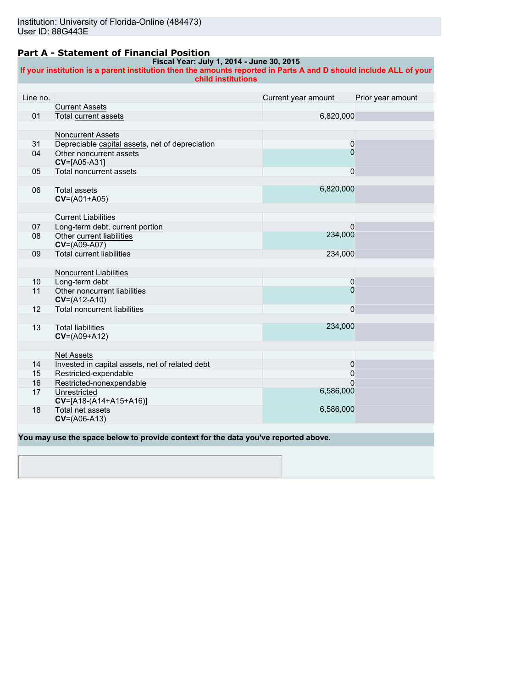### **Part A - Statement of Financial Position**

#### **Fiscal Year: July 1, 2014 - June 30, 2015**

**If your institution is a parent institution then the amounts reported in Parts A and D should include ALL of your child institutions**

| Line no. |                                                 | Current year amount | Prior year amount |
|----------|-------------------------------------------------|---------------------|-------------------|
|          | <b>Current Assets</b>                           |                     |                   |
| 01       | Total current assets                            | 6,820,000           |                   |
|          |                                                 |                     |                   |
|          | <b>Noncurrent Assets</b>                        |                     |                   |
| 31       | Depreciable capital assets, net of depreciation | $\mathbf 0$         |                   |
| 04       | Other noncurrent assets                         | $\overline{0}$      |                   |
|          | CV=[A05-A31]                                    |                     |                   |
| 05       | Total noncurrent assets                         | $\mathbf 0$         |                   |
|          |                                                 |                     |                   |
| 06       | <b>Total assets</b>                             | 6,820,000           |                   |
|          | $CV=(A01+A05)$                                  |                     |                   |
|          |                                                 |                     |                   |
|          | <b>Current Liabilities</b>                      |                     |                   |
| 07       | Long-term debt, current portion                 | 0                   |                   |
| 08       | Other current liabilities                       | 234,000             |                   |
|          | $CV=(A09-A07)$                                  |                     |                   |
| 09       | <b>Total current liabilities</b>                | 234,000             |                   |
|          |                                                 |                     |                   |
|          | Noncurrent Liabilities                          |                     |                   |
| 10       | Long-term debt                                  | 0                   |                   |
| 11       | Other noncurrent liabilities                    | $\overline{0}$      |                   |
|          | $CV=(A12-A10)$                                  |                     |                   |
| 12       | <b>Total noncurrent liabilities</b>             | $\mathbf 0$         |                   |
|          |                                                 | 234,000             |                   |
| 13       | <b>Total liabilities</b><br>$CV=(A09+A12)$      |                     |                   |
|          |                                                 |                     |                   |
|          | <b>Net Assets</b>                               |                     |                   |
| 14       | Invested in capital assets, net of related debt | 0                   |                   |
| 15       | Restricted-expendable                           | 0                   |                   |
| 16       | Restricted-nonexpendable                        | $\Omega$            |                   |
| 17       | Unrestricted                                    | 6,586,000           |                   |
|          | $CV=[A18-(A14+A15+A16)]$                        |                     |                   |
| 18       | Total net assets                                | 6,586,000           |                   |
|          | $CV=(A06-A13)$                                  |                     |                   |
|          |                                                 |                     |                   |

**You may use the space below to provide context for the data you've reported above.**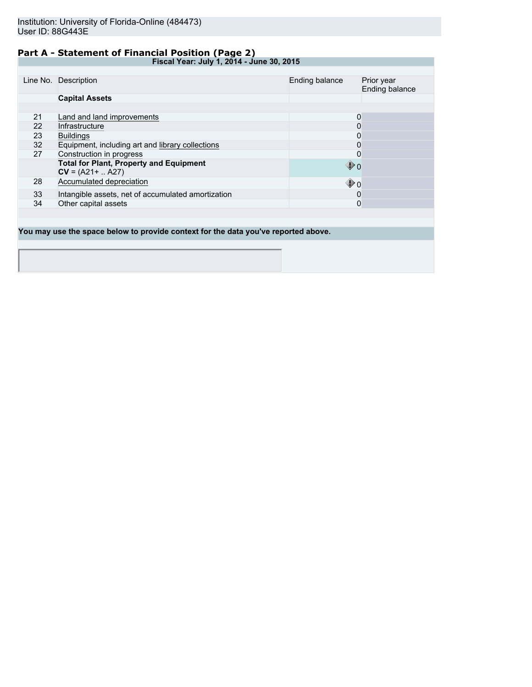## **Part A - Statement of Financial Position (Page 2)**

**Fiscal Year: July 1, 2014 - June 30, 2015**

|    | Line No. Description                                                  | Ending balance    | Prior year<br>Ending balance |
|----|-----------------------------------------------------------------------|-------------------|------------------------------|
|    | <b>Capital Assets</b>                                                 |                   |                              |
|    |                                                                       |                   |                              |
| 21 | Land and land improvements                                            | 0                 |                              |
| 22 | Infrastructure                                                        | 0                 |                              |
| 23 | <b>Buildings</b>                                                      | 0                 |                              |
| 32 | Equipment, including art and library collections                      | 0                 |                              |
| 27 | Construction in progress                                              | 0                 |                              |
|    | <b>Total for Plant, Property and Equipment</b><br>$CV = (A21 +  A27)$ | $\mathbf{\Phi}$ o |                              |
| 28 | Accumulated depreciation                                              | $\mathbf{\Phi}$ o |                              |
| 33 | Intangible assets, net of accumulated amortization                    | 0                 |                              |
| 34 | Other capital assets                                                  | 0                 |                              |
|    |                                                                       |                   |                              |

**You may use the space below to provide context for the data you've reported above.**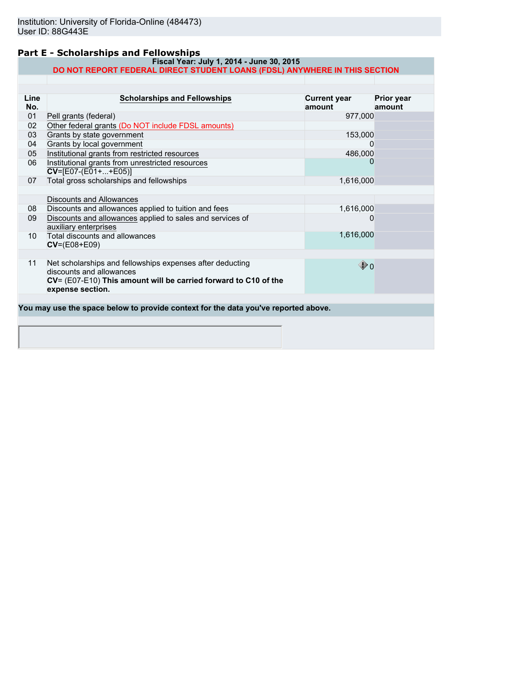## **Part E - Scholarships and Fellowships**

#### **Fiscal Year: July 1, 2014 - June 30, 2015 DO NOT REPORT FEDERAL DIRECT STUDENT LOANS (FDSL) ANYWHERE IN THIS SECTION**

| Line | <b>Scholarships and Fellowships</b>                                                                                                                                          | <b>Current year</b> | Prior year |
|------|------------------------------------------------------------------------------------------------------------------------------------------------------------------------------|---------------------|------------|
| No.  |                                                                                                                                                                              | amount              | amount     |
| 01   | Pell grants (federal)                                                                                                                                                        | 977,000             |            |
| 02   | Other federal grants (Do NOT include FDSL amounts)                                                                                                                           |                     |            |
| 03   | Grants by state government                                                                                                                                                   | 153,000             |            |
| 04   | Grants by local government                                                                                                                                                   | 0                   |            |
| 05   | Institutional grants from restricted resources                                                                                                                               | 486,000             |            |
| 06   | Institutional grants from unrestricted resources<br>$CV=[E07-(E01++E05)]$                                                                                                    |                     |            |
| 07   | Total gross scholarships and fellowships                                                                                                                                     | 1,616,000           |            |
|      |                                                                                                                                                                              |                     |            |
|      | <b>Discounts and Allowances</b>                                                                                                                                              |                     |            |
| 08   | Discounts and allowances applied to tuition and fees                                                                                                                         | 1,616,000           |            |
| 09   | Discounts and allowances applied to sales and services of<br>auxiliary enterprises                                                                                           | 0                   |            |
| 10   | Total discounts and allowances<br>$CV=(E08+E09)$                                                                                                                             | 1,616,000           |            |
|      |                                                                                                                                                                              |                     |            |
| 11   | Net scholarships and fellowships expenses after deducting<br>discounts and allowances<br>CV= (E07-E10) This amount will be carried forward to C10 of the<br>expense section. | $\mathbf{\Phi}$ o   |            |
|      |                                                                                                                                                                              |                     |            |
|      | You may use the space below to provide context for the data you've reported above.                                                                                           |                     |            |
|      |                                                                                                                                                                              |                     |            |
|      |                                                                                                                                                                              |                     |            |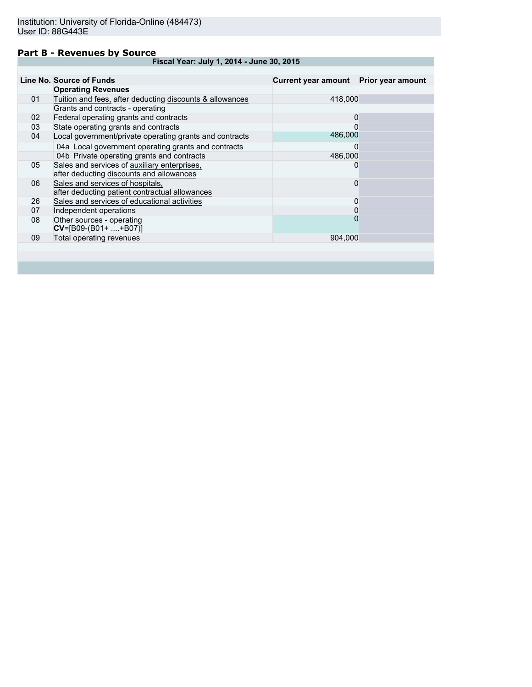### **Part B - Revenues by Source**

|    | Line No. Source of Funds                                 | Current year amount Prior year amount |  |
|----|----------------------------------------------------------|---------------------------------------|--|
|    | <b>Operating Revenues</b>                                |                                       |  |
| 01 | Tuition and fees, after deducting discounts & allowances | 418,000                               |  |
|    | Grants and contracts - operating                         |                                       |  |
| 02 | Federal operating grants and contracts                   | 0                                     |  |
| 03 | State operating grants and contracts                     | O                                     |  |
| 04 | Local government/private operating grants and contracts  | 486,000                               |  |
|    | 04a Local government operating grants and contracts      | 0                                     |  |
|    | 04b Private operating grants and contracts               | 486,000                               |  |
| 05 | Sales and services of auxiliary enterprises,             | 0                                     |  |
|    | after deducting discounts and allowances                 |                                       |  |
| 06 | Sales and services of hospitals,                         | 0                                     |  |
|    | after deducting patient contractual allowances           |                                       |  |
| 26 | Sales and services of educational activities             | 0                                     |  |
| 07 | Independent operations                                   | 0                                     |  |
| 08 | Other sources - operating                                | $\Omega$                              |  |
|    | $CV=[B09-(B01++B07)]$                                    |                                       |  |
| 09 | Total operating revenues                                 | 904.000                               |  |
|    |                                                          |                                       |  |
|    |                                                          |                                       |  |
|    |                                                          |                                       |  |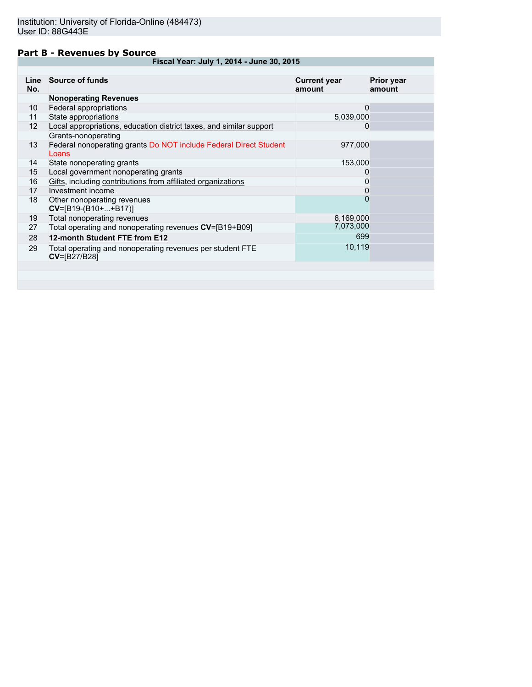### **Part B - Revenues by Source**

| Line<br>No.     | Source of funds                                                            | <b>Current year</b><br>amount | <b>Prior year</b><br>amount |
|-----------------|----------------------------------------------------------------------------|-------------------------------|-----------------------------|
|                 | <b>Nonoperating Revenues</b>                                               |                               |                             |
| 10              | Federal appropriations                                                     | 0                             |                             |
| 11              | State appropriations                                                       | 5,039,000                     |                             |
| 12 <sup>2</sup> | Local appropriations, education district taxes, and similar support        | 0                             |                             |
|                 | Grants-nonoperating                                                        |                               |                             |
| 13              | Federal nonoperating grants Do NOT include Federal Direct Student<br>Loans | 977,000                       |                             |
| 14              | State nonoperating grants                                                  | 153,000                       |                             |
| 15              | Local government nonoperating grants                                       | 0                             |                             |
| 16              | Gifts, including contributions from affiliated organizations               | 0                             |                             |
| 17              | Investment income                                                          | 0                             |                             |
| 18              | Other nonoperating revenues<br>$CV=[B19-(B10++B17)]$                       | $\mathbf{0}$                  |                             |
| 19              | Total nonoperating revenues                                                | 6,169,000                     |                             |
| 27              | Total operating and nonoperating revenues CV=[B19+B09]                     | 7,073,000                     |                             |
| 28              | 12-month Student FTE from E12                                              | 699                           |                             |
| 29              | Total operating and nonoperating revenues per student FTE<br>CV=[B27/B28]  | 10,119                        |                             |
|                 |                                                                            |                               |                             |
|                 |                                                                            |                               |                             |
|                 |                                                                            |                               |                             |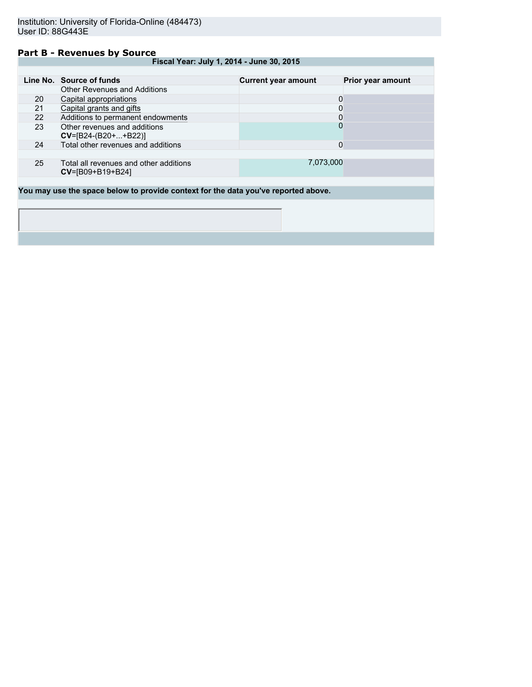### **Part B - Revenues by Source**

|    | Line No. Source of funds                                                           | <b>Current year amount</b> | Prior year amount |
|----|------------------------------------------------------------------------------------|----------------------------|-------------------|
|    | Other Revenues and Additions                                                       |                            |                   |
| 20 | Capital appropriations                                                             | 0                          |                   |
| 21 | Capital grants and gifts                                                           | 0                          |                   |
| 22 | Additions to permanent endowments                                                  | 0                          |                   |
| 23 | Other revenues and additions<br>$CV=[B24-(B20++B22)]$                              | 0                          |                   |
| 24 | Total other revenues and additions                                                 | 0                          |                   |
|    |                                                                                    |                            |                   |
| 25 | Total all revenues and other additions<br>$CV = [B09 + B19 + B24]$                 | 7,073,000                  |                   |
|    |                                                                                    |                            |                   |
|    | You may use the space below to provide context for the data you've reported above. |                            |                   |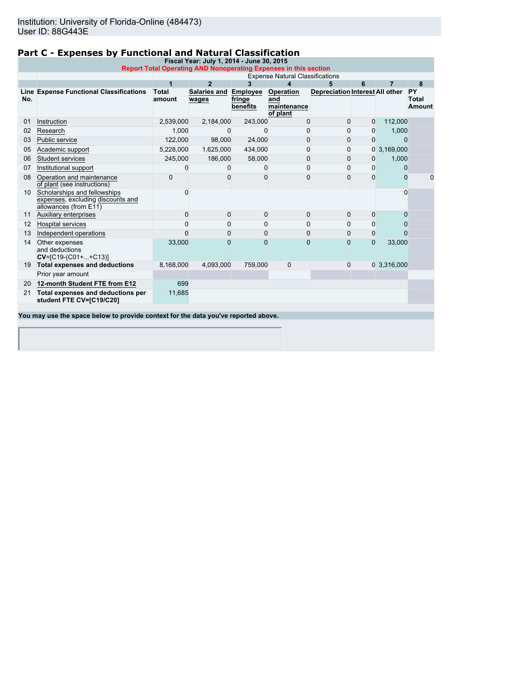## **Part C - Expenses by Functional and Natural Classification**

| Fiscal Year: July 1, 2014 - June 30, 2015<br><b>Report Total Operating AND Nonoperating Expenses in this section</b> |                                                                                            |                        |                       |                                       |                                             |                                 |                |                |                                     |
|----------------------------------------------------------------------------------------------------------------------|--------------------------------------------------------------------------------------------|------------------------|-----------------------|---------------------------------------|---------------------------------------------|---------------------------------|----------------|----------------|-------------------------------------|
|                                                                                                                      | <b>Expense Natural Classifications</b>                                                     |                        |                       |                                       |                                             |                                 |                |                |                                     |
|                                                                                                                      |                                                                                            |                        | $\mathbf{2}$          | 3                                     | 4                                           | 5                               | 6              |                | 8                                   |
| No.                                                                                                                  | Line Expense Functional Classifications                                                    | <b>Total</b><br>amount | Salaries and<br>wages | <b>Employee</b><br>fringe<br>benefits | Operation<br>and<br>maintenance<br>of plant | Depreciation Interest All other |                |                | <b>PY</b><br><b>Total</b><br>Amount |
| 01                                                                                                                   | Instruction                                                                                | 2,539,000              | 2,184,000             | 243,000                               | $\Omega$                                    | $\Omega$                        | $\Omega$       | 112,000        |                                     |
| 02                                                                                                                   | Research                                                                                   | 1,000                  | $\Omega$              | 0                                     | 0                                           | 0                               | 0              | 1,000          |                                     |
| 03                                                                                                                   | Public service                                                                             | 122,000                | 98,000                | 24,000                                | 0                                           | 0                               | $\Omega$       | $\Omega$       |                                     |
| 05                                                                                                                   | Academic support                                                                           | 5,228,000              | 1,625,000             | 434,000                               | 0                                           | 0                               |                | 0, 3, 169, 000 |                                     |
| 06                                                                                                                   | <b>Student services</b>                                                                    | 245,000                | 186,000               | 58,000                                | 0                                           | 0                               | 0              | 1,000          |                                     |
| 07                                                                                                                   | Institutional support                                                                      | 0                      |                       | $\Omega$                              | $\Omega$                                    | 0                               | $\Omega$       | $\Omega$       |                                     |
| 08                                                                                                                   | Operation and maintenance<br>of plant (see instructions)                                   | 0                      | U                     | $\Omega$                              | $\Omega$                                    | $\Omega$                        | $\Omega$       | $\Omega$       | 0                                   |
| 10                                                                                                                   | Scholarships and fellowships<br>expenses, excluding discounts and<br>allowances (from E11) | 0                      |                       |                                       |                                             |                                 |                | $\Omega$       |                                     |
| 11                                                                                                                   | Auxiliary enterprises                                                                      | $\Omega$               | $\Omega$              | $\mathbf{0}$                          | $\Omega$                                    | $\Omega$                        | $\Omega$       | $\Omega$       |                                     |
| 12                                                                                                                   | <b>Hospital services</b>                                                                   | $\Omega$               | $\Omega$              | $\mathbf{0}$                          | $\Omega$                                    | 0                               | 0              | 0              |                                     |
| 13                                                                                                                   | Independent operations                                                                     | $\Omega$               | $\Omega$              | 0                                     | 0                                           | $\Omega$                        | 0              | $\Omega$       |                                     |
| 14                                                                                                                   | Other expenses<br>and deductions<br>$CV=[C19-(C01++C13)]$                                  | 33,000                 | 0                     | $\mathbf{0}$                          | $\mathbf{0}$                                | $\mathbf 0$                     | $\overline{0}$ | 33,000         |                                     |
| 19                                                                                                                   | <b>Total expenses and deductions</b>                                                       | 8,168,000              | 4,093,000             | 759,000                               | $\mathbf{0}$                                | $\mathbf{0}$                    |                | 0 3,316,000    |                                     |
|                                                                                                                      | Prior year amount                                                                          |                        |                       |                                       |                                             |                                 |                |                |                                     |
| 20                                                                                                                   | 12-month Student FTE from E12                                                              | 699                    |                       |                                       |                                             |                                 |                |                |                                     |
| 21                                                                                                                   | Total expenses and deductions per<br>student FTE CV=[C19/C20]                              | 11,685                 |                       |                                       |                                             |                                 |                |                |                                     |

**You may use the space below to provide context for the data you've reported above.**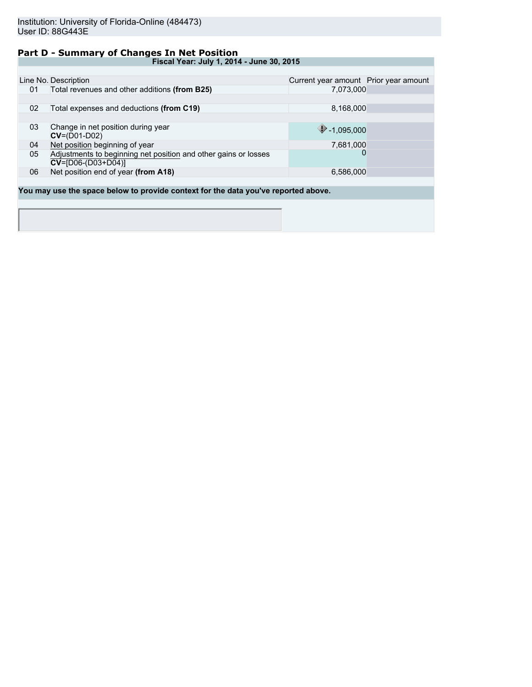### **Part D - Summary of Changes In Net Position**

|    | Line No. Description                                                               | Current year amount Prior year amount |  |
|----|------------------------------------------------------------------------------------|---------------------------------------|--|
| 01 | Total revenues and other additions (from B25)                                      | 7.073.000                             |  |
|    |                                                                                    |                                       |  |
| 02 | Total expenses and deductions (from C19)                                           | 8,168,000                             |  |
|    |                                                                                    |                                       |  |
| 03 | Change in net position during year                                                 | $\bigcirc$ -1,095,000                 |  |
|    | $CV=(D01-D02)$                                                                     |                                       |  |
| 04 | Net position beginning of year                                                     | 7,681,000                             |  |
| 05 | Adjustments to beginning net position and other gains or losses                    | O                                     |  |
|    | $CV=[D06-(D03+D04)]$                                                               |                                       |  |
| 06 | Net position end of year (from A18)                                                | 6,586,000                             |  |
|    |                                                                                    |                                       |  |
|    | You may use the space below to provide context for the data you've reported above. |                                       |  |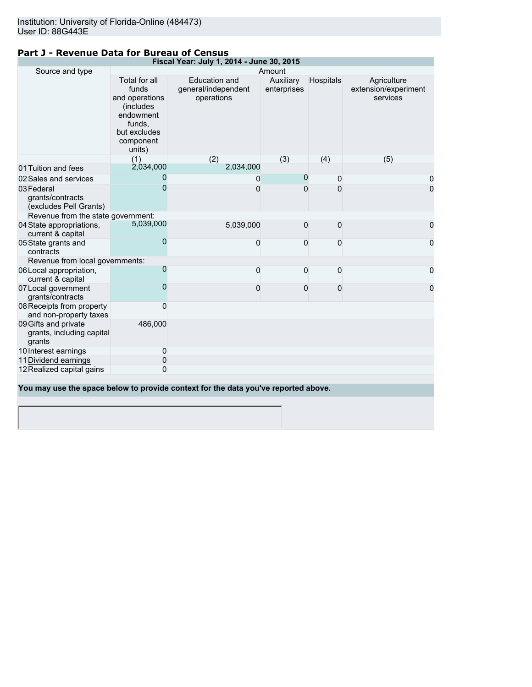## **Part J - Revenue Data for Bureau of Census**

|                                                             | Fiscal Year: July 1, 2014 - June 30, 2015                                                                                   |                                                                                    |                          |                  |                                                 |  |  |
|-------------------------------------------------------------|-----------------------------------------------------------------------------------------------------------------------------|------------------------------------------------------------------------------------|--------------------------|------------------|-------------------------------------------------|--|--|
| Source and type                                             |                                                                                                                             |                                                                                    | Amount                   |                  |                                                 |  |  |
|                                                             | Total for all<br>funds<br>and operations<br><i>(includes)</i><br>endowment<br>funds,<br>but excludes<br>component<br>units) | <b>Education and</b><br>general/independent<br>operations                          | Auxiliary<br>enterprises | <b>Hospitals</b> | Agriculture<br>extension/experiment<br>services |  |  |
|                                                             | (1)                                                                                                                         | (2)                                                                                | (3)                      | (4)              | (5)                                             |  |  |
| 01 Tuition and fees                                         | 2,034,000                                                                                                                   | 2,034,000                                                                          |                          |                  |                                                 |  |  |
| 02 Sales and services                                       | 0                                                                                                                           | 0                                                                                  | $\mathbf 0$              | 0                | 0                                               |  |  |
| 03 Federal<br>grants/contracts<br>(excludes Pell Grants)    | 0                                                                                                                           | 0                                                                                  | O                        | $\Omega$         | 0                                               |  |  |
| Revenue from the state government:                          |                                                                                                                             |                                                                                    |                          |                  |                                                 |  |  |
| 04 State appropriations,<br>current & capital               | 5,039,000                                                                                                                   | 5,039,000                                                                          | 0                        | 0                | 0                                               |  |  |
| 05 State grants and<br>contracts                            | 0                                                                                                                           | 0                                                                                  | 0                        | 0                | 0                                               |  |  |
| Revenue from local governments:                             |                                                                                                                             |                                                                                    |                          |                  |                                                 |  |  |
| 06 Local appropriation,<br>current & capital                | 0                                                                                                                           | 0                                                                                  | 0                        | 0                | 0                                               |  |  |
| 07 Local government<br>grants/contracts                     | 0                                                                                                                           | 0                                                                                  | 0                        | 0                | 0                                               |  |  |
| 08 Receipts from property<br>and non-property taxes         | 0                                                                                                                           |                                                                                    |                          |                  |                                                 |  |  |
| 09 Gifts and private<br>grants, including capital<br>grants | 486,000                                                                                                                     |                                                                                    |                          |                  |                                                 |  |  |
| 10 Interest earnings                                        | 0                                                                                                                           |                                                                                    |                          |                  |                                                 |  |  |
| 11 Dividend earnings                                        | 0                                                                                                                           |                                                                                    |                          |                  |                                                 |  |  |
| 12 Realized capital gains                                   | 0                                                                                                                           |                                                                                    |                          |                  |                                                 |  |  |
|                                                             |                                                                                                                             | You may use the space below to provide context for the data you've reported above. |                          |                  |                                                 |  |  |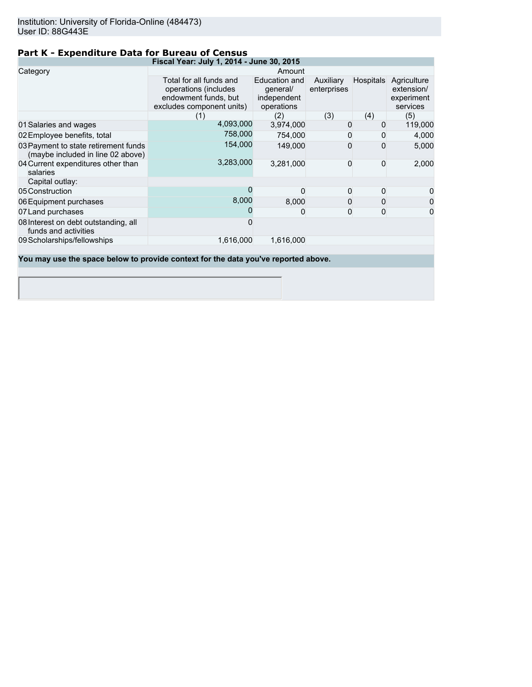## **Part K - Expenditure Data for Bureau of Census**

|                                                                                    | Fiscal Year: July 1, 2014 - June 30, 2015                                                            |                                                        |                          |                  |                                                     |  |  |  |
|------------------------------------------------------------------------------------|------------------------------------------------------------------------------------------------------|--------------------------------------------------------|--------------------------|------------------|-----------------------------------------------------|--|--|--|
| Category                                                                           | Amount                                                                                               |                                                        |                          |                  |                                                     |  |  |  |
|                                                                                    | Total for all funds and<br>operations (includes<br>endowment funds, but<br>excludes component units) | Education and<br>general/<br>independent<br>operations | Auxiliary<br>enterprises | <b>Hospitals</b> | Agriculture<br>extension/<br>experiment<br>services |  |  |  |
|                                                                                    | (1)                                                                                                  | (2)                                                    | (3)                      | (4)              | (5)                                                 |  |  |  |
| 01 Salaries and wages                                                              | 4,093,000                                                                                            | 3,974,000                                              | 0                        | 0                | 119,000                                             |  |  |  |
| 02 Employee benefits, total                                                        | 758,000                                                                                              | 754,000                                                | 0                        |                  | 4,000                                               |  |  |  |
| 03 Payment to state retirement funds<br>(maybe included in line 02 above)          | 154,000                                                                                              | 149,000                                                | 0                        |                  | 5,000                                               |  |  |  |
| 04 Current expenditures other than<br>salaries                                     | 3,283,000                                                                                            | 3,281,000                                              | 0                        | $\Omega$         | 2,000                                               |  |  |  |
| Capital outlay:                                                                    |                                                                                                      |                                                        |                          |                  |                                                     |  |  |  |
| 05 Construction                                                                    |                                                                                                      | O                                                      | 0                        | 0                | 0                                                   |  |  |  |
| 06 Equipment purchases                                                             | 8,000                                                                                                | 8,000                                                  | 0                        | 0                | 0                                                   |  |  |  |
| 07 Land purchases                                                                  |                                                                                                      | 0                                                      | 0                        | 0                | $\mathbf 0$                                         |  |  |  |
| 08 Interest on debt outstanding, all<br>funds and activities                       |                                                                                                      |                                                        |                          |                  |                                                     |  |  |  |
| 09 Scholarships/fellowships                                                        | 1,616,000                                                                                            | 1,616,000                                              |                          |                  |                                                     |  |  |  |
| You may use the space below to provide context for the data you've reported above. |                                                                                                      |                                                        |                          |                  |                                                     |  |  |  |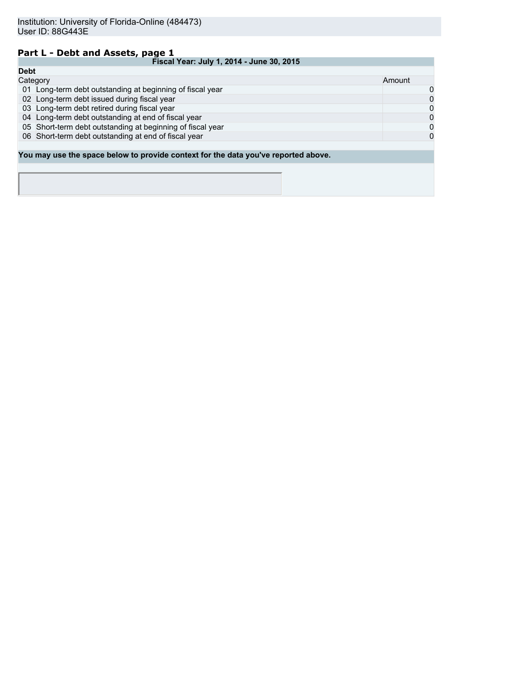# **Part L - Debt and Assets, page 1**

|             | Fiscal Year: July 1, 2014 - June 30, 2015                                          |        |  |
|-------------|------------------------------------------------------------------------------------|--------|--|
| <b>Debt</b> |                                                                                    |        |  |
| Category    |                                                                                    | Amount |  |
|             | 01 Long-term debt outstanding at beginning of fiscal year                          | 0      |  |
|             | 02 Long-term debt issued during fiscal year                                        | 0      |  |
|             | 03 Long-term debt retired during fiscal year                                       | 0      |  |
|             | 04 Long-term debt outstanding at end of fiscal year                                | 0      |  |
|             | 05 Short-term debt outstanding at beginning of fiscal year                         | 0      |  |
|             | 06 Short-term debt outstanding at end of fiscal year                               | 0      |  |
|             |                                                                                    |        |  |
|             | You may use the space below to provide context for the data you've reported above. |        |  |
|             |                                                                                    |        |  |
|             |                                                                                    |        |  |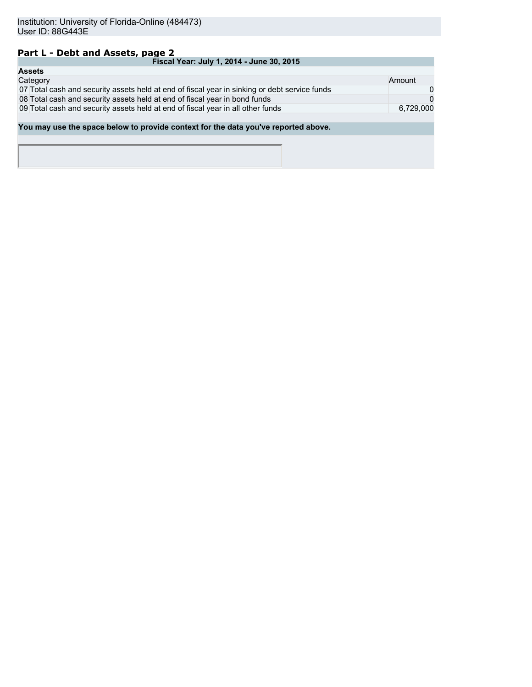## **Part L - Debt and Assets, page 2**

| Fiscal Year: July 1, 2014 - June 30, 2015                                                     |           |  |  |  |
|-----------------------------------------------------------------------------------------------|-----------|--|--|--|
| <b>Assets</b>                                                                                 |           |  |  |  |
| Category                                                                                      | Amount    |  |  |  |
| 07 Total cash and security assets held at end of fiscal year in sinking or debt service funds | 0         |  |  |  |
| 08 Total cash and security assets held at end of fiscal year in bond funds                    | $\Omega$  |  |  |  |
| 09 Total cash and security assets held at end of fiscal year in all other funds               | 6.729.000 |  |  |  |
|                                                                                               |           |  |  |  |
| You may use the space below to provide context for the data you've reported above.            |           |  |  |  |
|                                                                                               |           |  |  |  |
|                                                                                               |           |  |  |  |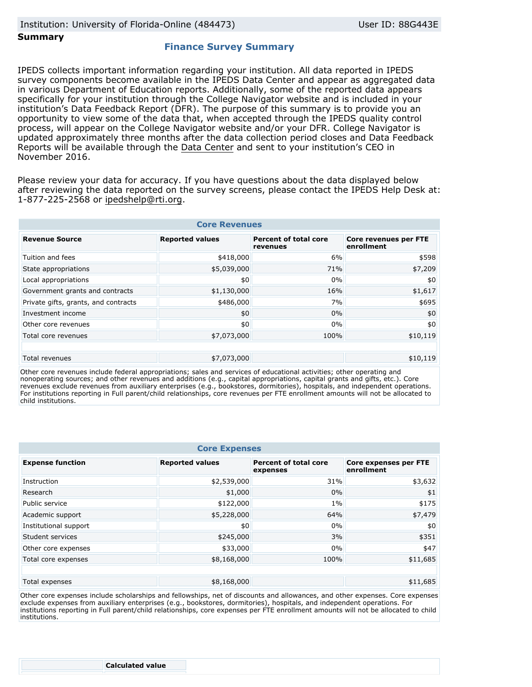#### **Summary**

## **Finance Survey Summary**

IPEDS collects important information regarding your institution. All data reported in IPEDS survey components become available in the IPEDS Data Center and appear as aggregated data in various Department of Education reports. Additionally, some of the reported data appears specifically for your institution through the College Navigator website and is included in your institution's Data Feedback Report (DFR). The purpose of this summary is to provide you an opportunity to view some of the data that, when accepted through the IPEDS quality control process, will appear on the College Navigator website and/or your DFR. College Navigator is updated approximately three months after the data collection period closes and Data Feedback Reports will be available through the Data Center and sent to your institution's CEO in November 2016.

Please review your data for accuracy. If you have questions about the data displayed below after reviewing the data reported on the survey screens, please contact the IPEDS Help Desk at: 1-877-225-2568 or ipedshelp@rti.org.

| <b>Core Revenues</b>                 |                        |                                          |                                     |  |
|--------------------------------------|------------------------|------------------------------------------|-------------------------------------|--|
| <b>Revenue Source</b>                | <b>Reported values</b> | <b>Percent of total core</b><br>revenues | Core revenues per FTE<br>enrollment |  |
| Tuition and fees                     | \$418,000              | 6%                                       | \$598                               |  |
| State appropriations                 | \$5,039,000            | 71%                                      | \$7,209                             |  |
| Local appropriations                 | \$0                    | 0%                                       | \$0                                 |  |
| Government grants and contracts      | \$1,130,000            | 16%                                      | \$1,617                             |  |
| Private gifts, grants, and contracts | \$486,000              | 7%                                       | \$695                               |  |
| Investment income                    | \$0                    | 0%                                       | \$0                                 |  |
| Other core revenues                  | \$0                    | 0%                                       | \$0                                 |  |
| Total core revenues                  | \$7,073,000            | 100%                                     | \$10,119                            |  |
|                                      |                        |                                          |                                     |  |
| Total revenues                       | \$7,073,000            |                                          | \$10,119                            |  |

Other core revenues include federal appropriations; sales and services of educational activities; other operating and nonoperating sources; and other revenues and additions (e.g., capital appropriations, capital grants and gifts, etc.). Core revenues exclude revenues from auxiliary enterprises (e.g., bookstores, dormitories), hospitals, and independent operations. For institutions reporting in Full parent/child relationships, core revenues per FTE enrollment amounts will not be allocated to child institutions.

| <b>Core Expenses</b>    |                        |                                          |                                            |
|-------------------------|------------------------|------------------------------------------|--------------------------------------------|
| <b>Expense function</b> | <b>Reported values</b> | <b>Percent of total core</b><br>expenses | <b>Core expenses per FTE</b><br>enrollment |
| Instruction             | \$2,539,000            | 31%                                      | \$3,632                                    |
| Research                | \$1,000                | 0%                                       | \$1                                        |
| Public service          | \$122,000              | $1\%$                                    | \$175                                      |
| Academic support        | \$5,228,000            | 64%                                      | \$7,479                                    |
| Institutional support   | \$0                    | 0%                                       | \$0                                        |
| Student services        | \$245,000              | 3%                                       | \$351                                      |
| Other core expenses     | \$33,000               | 0%                                       | \$47                                       |
| Total core expenses     | \$8,168,000            | 100%                                     | \$11,685                                   |
|                         |                        |                                          |                                            |
| Total expenses          | \$8,168,000            |                                          | \$11,685                                   |

Other core expenses include scholarships and fellowships, net of discounts and allowances, and other expenses. Core expenses exclude expenses from auxiliary enterprises (e.g., bookstores, dormitories), hospitals, and independent operations. For institutions reporting in Full parent/child relationships, core expenses per FTE enrollment amounts will not be allocated to child institutions.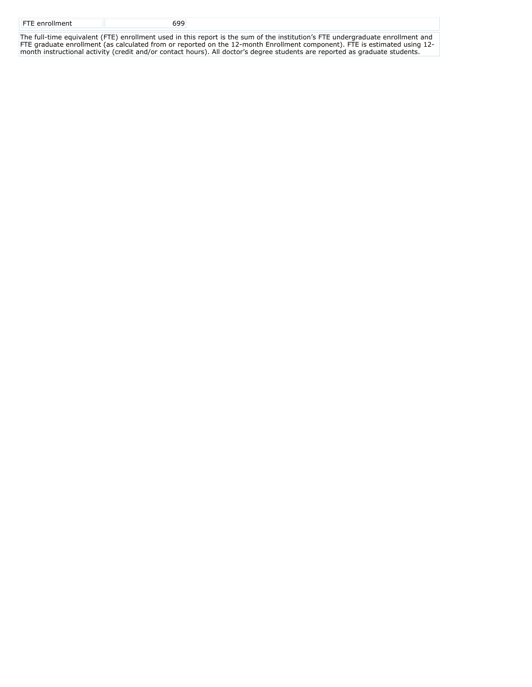| <b>FTE</b> enrollment |  |
|-----------------------|--|
|                       |  |

The full-time equivalent (FTE) enrollment used in this report is the sum of the institution's FTE undergraduate enrollment and FTE graduate enrollment (as calculated from or reported on the 12-month Enrollment component). FTE is estimated using 12 month instructional activity (credit and/or contact hours). All doctor's degree students are reported as graduate students.